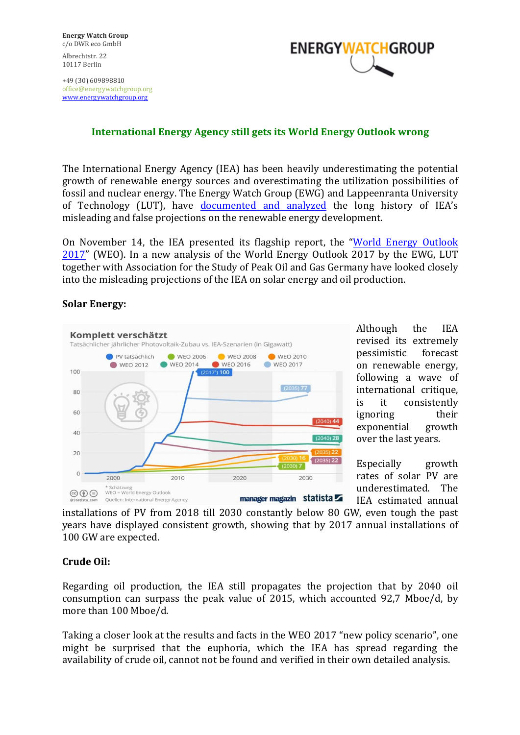+49 (30) 609898810 office@energywatchgroup.org www.energywatchgroup.org



# **International Energy Agency still gets its World Energy Outlook wrong**

The International Energy Agency (IEA) has been heavily underestimating the potential growth of renewable energy sources and overestimating the utilization possibilities of fossil and nuclear energy. The Energy Watch Group (EWG) and Lappeenranta University of Technology (LUT), have documented and analyzed the long history of IEA's misleading and false projections on the renewable energy development.

On November 14, the IEA presented its flagship report, the "World Energy Outlook  $2017$ " (WEO). In a new analysis of the World Energy Outlook 2017 by the EWG, LUT together with Association for the Study of Peak Oil and Gas Germany have looked closely into the misleading projections of the IEA on solar energy and oil production.

#### **Solar Energy:**



Although the IEA revised its extremely pessimistic forecast on renewable energy, following a wave of international critique, is it consistently ignoring their exponential growth over the last years.

Especially growth rates of solar PV are underestimated. The IEA estimated annual

installations of PV from 2018 till 2030 constantly below 80 GW, even tough the past years have displayed consistent growth, showing that by 2017 annual installations of 100 GW are expected.

### Crude Oil:

Regarding oil production, the IEA still propagates the projection that by 2040 oil consumption can surpass the peak value of 2015, which accounted 92,7 Mboe/d, by more than 100 Mboe/d.

Taking a closer look at the results and facts in the WEO 2017 "new policy scenario", one might be surprised that the euphoria, which the IEA has spread regarding the availability of crude oil, cannot not be found and verified in their own detailed analysis.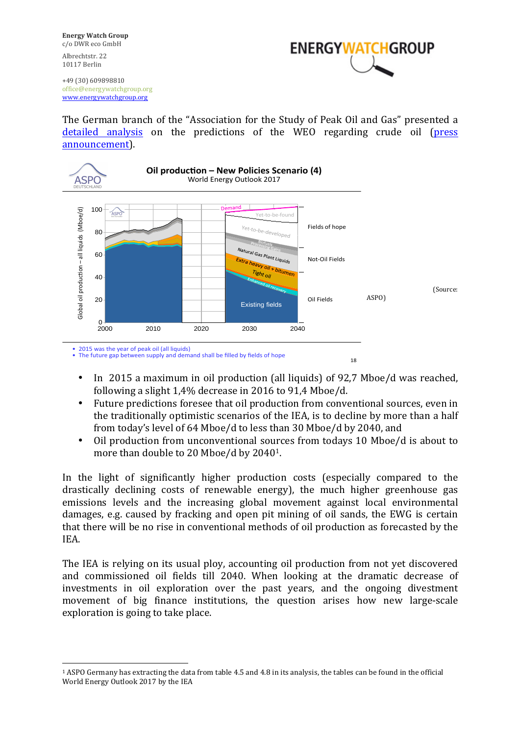**Energy Watch Group** c/o DWR eco GmbH Albrechtstr. 22 10117 Berlin



+49 (30) 609898810 office@energywatchgroup.org www.energywatchgroup.org

The German branch of the "Association for the Study of Peak Oil and Gas" presented a detailed analysis on the predictions of the WEO regarding crude oil (press announcement). 



- In 2015 a maximum in oil production (all liquids) of 92.7 Mboe/d was reached, following a slight  $1.4\%$  decrease in 2016 to 91,4 Mboe/d.
- Future predictions foresee that oil production from conventional sources, even in the traditionally optimistic scenarios of the IEA, is to decline by more than a half from today's level of 64 Mboe/d to less than 30 Mboe/d by 2040, and
- Oil production from unconventional sources from todays 10 Mboe/d is about to more than double to 20 Mboe/d by  $2040<sup>1</sup>$ .

In the light of significantly higher production costs (especially compared to the drastically declining costs of renewable energy), the much higher greenhouse gas emissions levels and the increasing global movement against local environmental damages, e.g. caused by fracking and open pit mining of oil sands, the EWG is certain that there will be no rise in conventional methods of oil production as forecasted by the IEA. 

The IEA is relying on its usual ploy, accounting oil production from not yet discovered and commissioned oil fields till 2040. When looking at the dramatic decrease of investments in oil exploration over the past years, and the ongoing divestment movement of big finance institutions, the question arises how new large-scale exploration is going to take place.

 

 $1$  ASPO Germany has extracting the data from table 4.5 and 4.8 in its analysis, the tables can be found in the official World Energy Outlook 2017 by the IEA